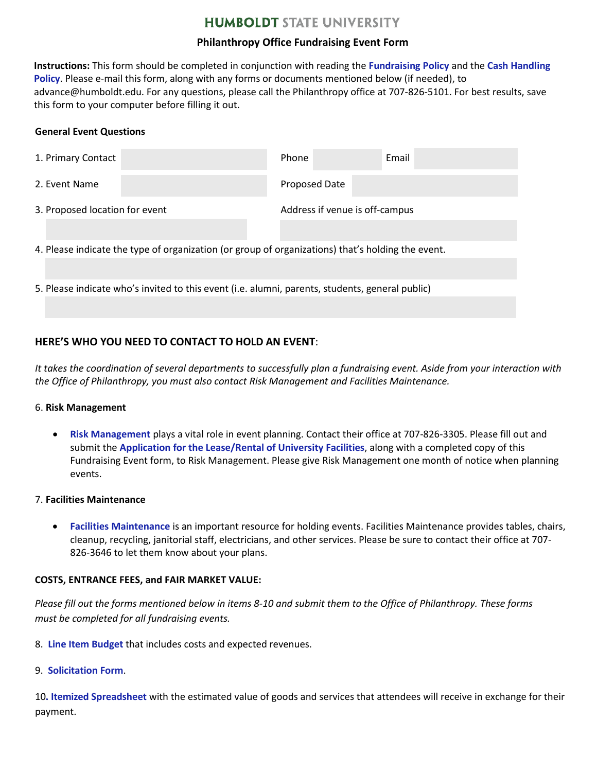# **HUMBOLDT STATE UNIVERSITY**

## **Philanthropy Office Fundraising Event Form**

**Instructions:** This form should be completed in conjunction with reading the **[Fundraising Policy](http://www2.humboldt.edu/advancement/docs/FundraisingEventGuidelines.pdf)** and the **[Cash Handling](http://www2.humboldt.edu/advancement/docs/CASE%20Guidelines%20Chapter%201.pdf) Policy**. Please e-mail this form, along with any forms or documents mentioned below (if needed), to advance@humboldt.edu. For any questions, please call the Philanthropy office at 707-826-5101. For best results, save this form to your computer before filling it out.

## **General Event Questions**

| 1. Primary Contact                                                                                |  | Phone                          | Email |  |  |
|---------------------------------------------------------------------------------------------------|--|--------------------------------|-------|--|--|
| 2. Event Name                                                                                     |  | Proposed Date                  |       |  |  |
| 3. Proposed location for event                                                                    |  | Address if venue is off-campus |       |  |  |
|                                                                                                   |  |                                |       |  |  |
| 4. Please indicate the type of organization (or group of organizations) that's holding the event. |  |                                |       |  |  |
|                                                                                                   |  |                                |       |  |  |
| 5. Please indicate who's invited to this event (i.e. alumni, parents, students, general public)   |  |                                |       |  |  |
|                                                                                                   |  |                                |       |  |  |

# **HERE'S WHO YOU NEED TO CONTACT TO HOLD AN EVENT**:

*It takes the coordination of several departments to successfully plan a fundraising event. Aside from your interaction with the Office of Philanthropy, you must also contact Risk Management and Facilities Maintenance.* 

### 6. **Risk Management**

• **[Risk Management](http://www2.humboldt.edu/riskmgmt/)** plays a vital role in event planning. Contact their office at 707-826-3305. Please fill out and submit the **[Application for the Lease/Rental of University Facilities](https://www2.humboldt.edu/forms/sites/forms/files/RM%20-%20Application%20for%20Lease%20-%20Rental%20of%20University%20Facilities.pdf)**, along with a completed copy of this Fundraising Event form, to Risk Management. Please give Risk Management one month of notice when planning events.

### 7. **Facilities Maintenance**

• **[Facilities Maintenance](http://www2.humboldt.edu/facilitymgmt/)** is an important resource for holding events. Facilities Maintenance provides tables, chairs, cleanup, recycling, janitorial staff, electricians, and other services. Please be sure to contact their office at 707- 826-3646 to let them know about your plans.

## **COSTS, ENTRANCE FEES, and FAIR MARKET VALUE:**

*Please fill out the forms mentioned below in items 8-10 and submit them to the Office of Philanthropy. These forms must be completed for all fundraising events.*

- 8. **[Line Item](http://www2.humboldt.edu/forms/node/958) Budget** that includes costs and expected revenues.
- 9. **[Solicitation](http://www2.humboldt.edu/forms/sites/forms/files/Communication%20Form%20Revised%206.10.15.pdf) Form**.

10. Itemized [Spreadsheet](http://www2.humboldt.edu/forms/node/959) with the estimated value of goods and services that attendees will receive in exchange for their payment.